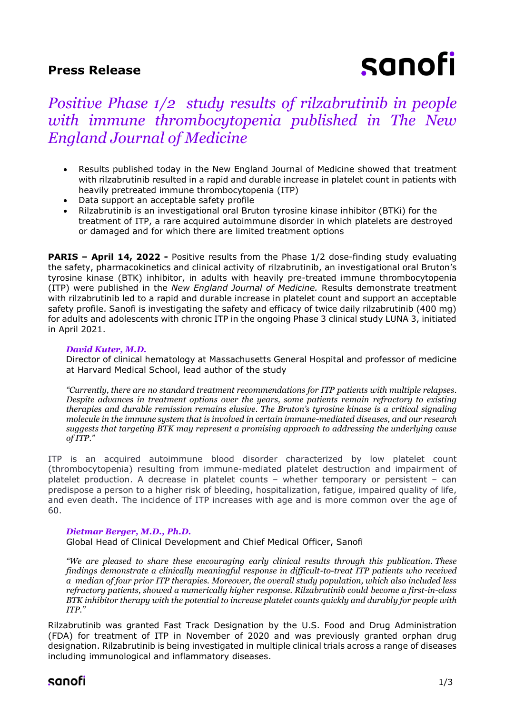### **Press Release**

# sanofi

# *Positive Phase 1/2 study results of rilzabrutinib in people with immune thrombocytopenia published in The New England Journal of Medicine*

- Results published today in the New England Journal of Medicine showed that treatment with rilzabrutinib resulted in a rapid and durable increase in platelet count in patients with heavily pretreated immune thrombocytopenia (ITP)
- Data support an acceptable safety profile
- Rilzabrutinib is an investigational oral Bruton tyrosine kinase inhibitor (BTKi) for the treatment of ITP, a rare acquired autoimmune disorder in which platelets are destroyed or damaged and for which there are limited treatment options

**PARIS – April 14, 2022 -** Positive results from the Phase 1/2 dose-finding study evaluating the safety, pharmacokinetics and clinical activity of rilzabrutinib, an investigational oral Bruton's tyrosine kinase (BTK) inhibitor, in adults with heavily pre-treated immune thrombocytopenia (ITP) were published in the *New England Journal of Medicine.* Results demonstrate treatment with rilzabrutinib led to a rapid and durable increase in platelet count and support an acceptable safety profile. Sanofi is investigating the safety and efficacy of twice daily rilzabrutinib (400 mg) for adults and adolescents with chronic ITP in the ongoing Phase 3 clinical study LUNA 3, initiated in April 2021.

#### *David Kuter, M.D.*

Director of clinical hematology at Massachusetts General Hospital and professor of medicine at Harvard Medical School, lead author of the study

*"Currently, there are no standard treatment recommendations for ITP patients with multiple relapses. Despite advances in treatment options over the years, some patients remain refractory to existing therapies and durable remission remains elusive. The Bruton's tyrosine kinase is a critical signaling molecule in the immune system that is involved in certain immune-mediated diseases, and our research suggests that targeting BTK may represent a promising approach to addressing the underlying cause of ITP."*

ITP is an acquired autoimmune blood disorder characterized by low platelet count (thrombocytopenia) resulting from immune-mediated platelet destruction and impairment of platelet production. A decrease in platelet counts – whether temporary or persistent – can predispose a person to a higher risk of bleeding, hospitalization, fatigue, impaired quality of life, and even death. The incidence of ITP increases with age and is more common over the age of 60.

#### *Dietmar Berger, M.D., Ph.D.*

Global Head of Clinical Development and Chief Medical Officer, Sanofi

*"We are pleased to share these encouraging early clinical results through this publication. These findings demonstrate a clinically meaningful response in difficult-to-treat ITP patients who received a median of four prior ITP therapies. Moreover, the overall study population, which also included less refractory patients, showed a numerically higher response. Rilzabrutinib could become a first-in-class BTK inhibitor therapy with the potential to increase platelet counts quickly and durably for people with ITP."*

Rilzabrutinib was granted Fast Track Designation by the U.S. Food and Drug Administration (FDA) for treatment of ITP in November of 2020 and was previously granted orphan drug designation. Rilzabrutinib is being investigated in multiple clinical trials across a range of diseases including immunological and inflammatory diseases.

## sanofi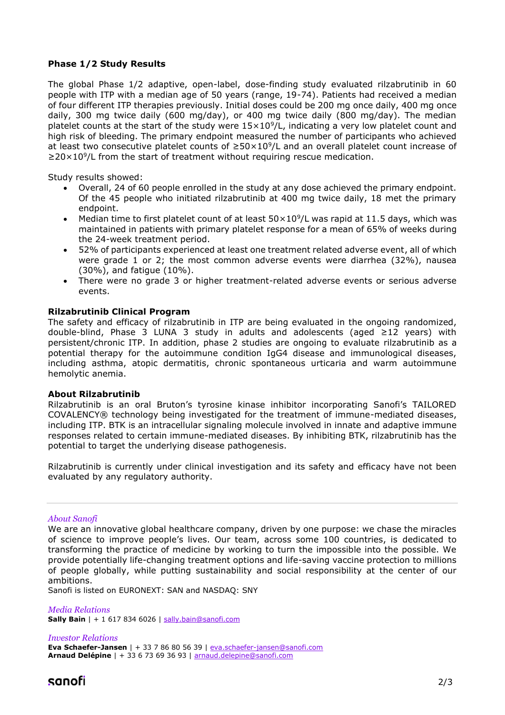#### **Phase 1/2 Study Results**

The global Phase 1/2 adaptive, open-label, dose-finding study evaluated rilzabrutinib in 60 people with ITP with a median age of 50 years (range, 19-74). Patients had received a median of four different ITP therapies previously. Initial doses could be 200 mg once daily, 400 mg once daily, 300 mg twice daily (600 mg/day), or 400 mg twice daily (800 mg/day). The median platelet counts at the start of the study were  $15\times10^{9}/L$ , indicating a very low platelet count and high risk of bleeding. The primary endpoint measured the number of participants who achieved at least two consecutive platelet counts of  $≥50×10<sup>9</sup>/L$  and an overall platelet count increase of ≥20×10<sup>9</sup>/L from the start of treatment without requiring rescue medication.

Study results showed:

- Overall, 24 of 60 people enrolled in the study at any dose achieved the primary endpoint. Of the 45 people who initiated rilzabrutinib at 400 mg twice daily, 18 met the primary endpoint.
- Median time to first platelet count of at least  $50 \times 10^9$ /L was rapid at 11.5 days, which was maintained in patients with primary platelet response for a mean of 65% of weeks during the 24-week treatment period.
- 52% of participants experienced at least one treatment related adverse event, all of which were grade 1 or 2; the most common adverse events were diarrhea (32%), nausea (30%), and fatigue (10%).
- There were no grade 3 or higher treatment-related adverse events or serious adverse events.

#### **Rilzabrutinib Clinical Program**

The safety and efficacy of rilzabrutinib in ITP are being evaluated in the ongoing randomized, double-blind, Phase 3 LUNA 3 study in adults and adolescents (aged ≥12 years) with persistent/chronic ITP. In addition, phase 2 studies are ongoing to evaluate rilzabrutinib as a potential therapy for the autoimmune condition IgG4 disease and immunological diseases, including asthma, atopic dermatitis, chronic spontaneous urticaria and warm autoimmune hemolytic anemia.

#### **About Rilzabrutinib**

Rilzabrutinib is an oral Bruton's tyrosine kinase inhibitor incorporating Sanofi's TAILORED COVALENCY® technology being investigated for the treatment of immune-mediated diseases, including ITP. BTK is an intracellular signaling molecule involved in innate and adaptive immune responses related to certain immune-mediated diseases. By inhibiting BTK, rilzabrutinib has the potential to target the underlying disease pathogenesis.

Rilzabrutinib is currently under clinical investigation and its safety and efficacy have not been evaluated by any regulatory authority.

#### *About Sanofi*

We are an innovative global healthcare company, driven by one purpose: we chase the miracles of science to improve people's lives. Our team, across some 100 countries, is dedicated to transforming the practice of medicine by working to turn the impossible into the possible. We provide potentially life-changing treatment options and life-saving vaccine protection to millions of people globally, while putting sustainability and social responsibility at the center of our ambitions.

Sanofi is listed on EURONEXT: SAN and NASDAQ: SNY

*Media Relations* **Sally Bain** | + 1 617 834 6026 | [sally.bain@sanofi.com](mailto:sally.bain@sanofi.com)

*Investor Relations* **Eva Schaefer-Jansen** | + 33 7 86 80 56 39 | [eva.schaefer-jansen@sanofi.com](mailto:eva.schaefer-jansen@sanofi.com) **Arnaud Delépine** | + 33 6 73 69 36 93 | [arnaud.delepine@sanofi.com](mailto:arnaud.delepine@sanofi.com)